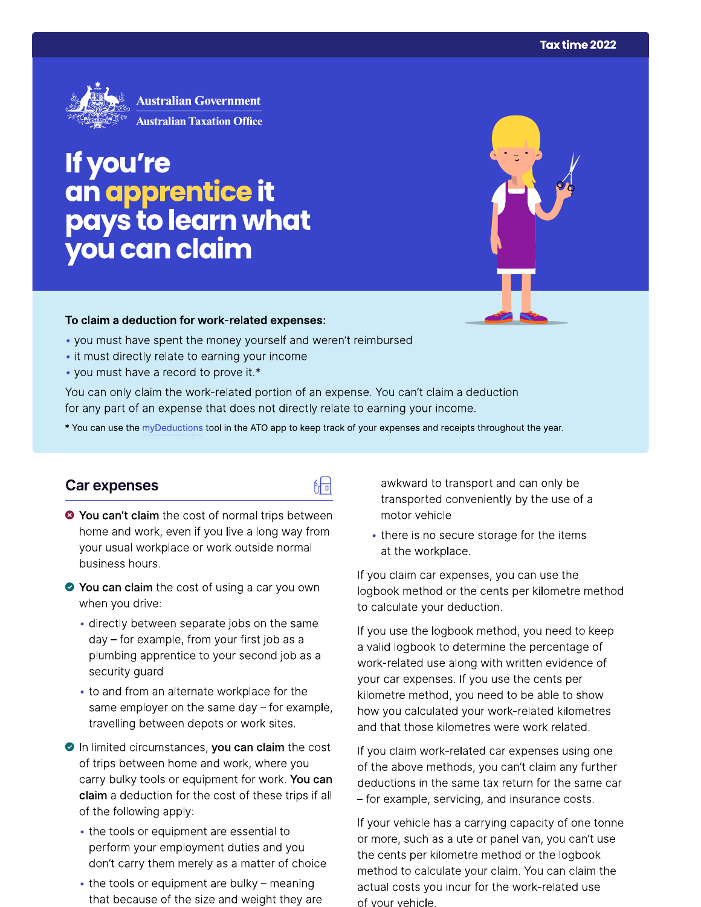

# If you're an apprentice it<br>pays to learn what you can claim

#### To claim a deduction for work-related expenses:

- you must have spent the money yourself and weren't reimbursed
- it must directly relate to earning your income
- you must have a record to prove it.\*

You can only claim the work-related portion of an expense. You can't claim a deduction for any part of an expense that does not directly relate to earning your income.

\* You can use the myDeductions tool in the ATO app to keep track of your expenses and receipts throughout the year.

品

### Car expenses

- <sup>●</sup> You can't claim the cost of normal trips between home and work, even if you live a long way from your usual workplace or work outside normal business hours.
- ◆ You can claim the cost of using a car you own when you drive:
	- · directly between separate jobs on the same day – for example, from your first job as a plumbing apprentice to your second job as a security guard
	- to and from an alternate workplace for the same employer on the same day  $-$  for example, travelling between depots or work sites.
- In limited circumstances, you can claim the cost of trips between home and work, where you carry bulky tools or equipment for work. You can claim a deduction for the cost of these trips if all of the following apply:
	- the tools or equipment are essential to perform your employment duties and you don't carry them merely as a matter of choice
	- $\bullet$  the tools or equipment are bulky meaning that because of the size and weight they are

awkward to transport and can only be transported conveniently by the use of a motor vehicle

• there is no secure storage for the items at the workplace.

If you claim car expenses, you can use the logbook method or the cents per kilometre method to calculate your deduction.

If you use the logbook method, you need to keep a valid logbook to determine the percentage of work-related use along with written evidence of your car expenses. If you use the cents per kilometre method, you need to be able to show how you calculated your work-related kilometres and that those kilometres were work related.

If you claim work-related car expenses using one of the above methods, you can't claim any further deductions in the same tax return for the same car - for example, servicing, and insurance costs.

If your vehicle has a carrying capacity of one tonne or more, such as a ute or panel van, you can't use the cents per kilometre method or the logbook method to calculate your claim. You can claim the actual costs you incur for the work-related use of your vehicle.